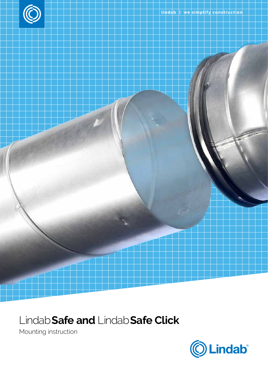



## Lindab**Safe and** Lindab**Safe Click**

Mounting instruction

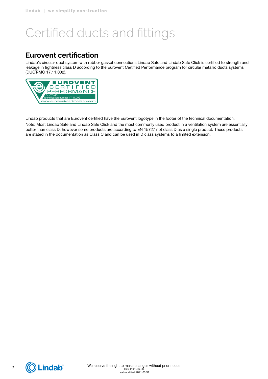# Certified ducts and fittings

### **Eurovent certification**

Lindab's circular duct system with rubber gasket connections Lindab Safe and Lindab Safe Click is certified to strength and leakage in tightness class D according to the Eurovent Certified Performance program for circular metallic ducts systems (DUCT-MC 17.11.002).



Lindab products that are Eurovent certified have the Eurovent logotype in the footer of the technical documentation.

Note: Most Lindab Safe and Lindab Safe Click and the most commonly used product in a ventilation system are essentially better than class D, however some products are according to EN 15727 not class D as a single product. These products are stated in the documentation as Class C and can be used in D class systems to a limited extension.

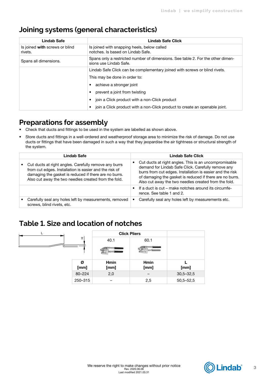### **Joining systems (general characteristics)**

| Lindab Safe                               | <b>Lindab Safe Click</b>                                                                                  |
|-------------------------------------------|-----------------------------------------------------------------------------------------------------------|
| Is joined with screws or blind<br>rivets. | Is joined with snapping heels, below called<br>notches. Is based on Lindab Safe.                          |
| Spans all dimensions.                     | Spans only a restricted number of dimensions. See table 2. For the other dimen-<br>sions use Lindab Safe. |
|                                           | Lindab Safe Click can be complementary joined with screws or blind rivets.                                |
|                                           | This may be done in order to:                                                                             |
|                                           | achieve a stronger joint                                                                                  |
|                                           | prevent a joint from twisting                                                                             |
|                                           | join a Click product with a non-Click product<br>$\bullet$                                                |
|                                           | join a Click product with a non-Click product to create an openable joint.                                |

### **Preparations for assembly**

- Check that ducts and fittings to be used in the system are labelled as shown above.
- Store ducts and fittings in a well-ordered and weatherproof storage area to minimize the risk of damage. Do not use ducts or fittings that have been damaged in such a way that they jeopardise the air tightness or structural strength of the system.

| Lindab Safe                                                                                                                                                                                                                      |   | Lindab Safe Click                                                                                                                                                                                                                                                                            |
|----------------------------------------------------------------------------------------------------------------------------------------------------------------------------------------------------------------------------------|---|----------------------------------------------------------------------------------------------------------------------------------------------------------------------------------------------------------------------------------------------------------------------------------------------|
| Cut ducts at right angles. Carefully remove any burrs<br>from cut edges. Installation is easier and the risk of<br>damaging the gasket is reduced if there are no burrs.<br>Also cut away the two needles created from the fold. |   | Cut ducts at right angles. This is an uncompromisable<br>demand for Lindab Safe Click. Carefully remove any<br>burrs from cut edges. Installation is easier and the risk<br>of damaging the gasket is reduced if there are no burrs.<br>Also cut away the two needles created from the fold. |
|                                                                                                                                                                                                                                  |   | If a duct is cut – make notches around its circumfe-<br>rence. See table 1 and 2.                                                                                                                                                                                                            |
| Carefully seal any holes left by measurements, removed<br>screws, blind rivets, etc.                                                                                                                                             | ٠ | Carefully seal any holes left by measurements etc.                                                                                                                                                                                                                                           |

### **Table 1. Size and location of notches**

|           | <b>Click Pliers</b> |              |               |
|-----------|---------------------|--------------|---------------|
| T.        | 40.1                | 60.1         |               |
|           | an a                |              |               |
| Ø<br>[mm] | Hmin<br>[mm]        | Hmin<br>[mm] | [mm]          |
| 80-224    | 2,0                 |              | $30,5 - 32,5$ |
| 250-315   |                     | 2,5          | $50,5 - 52,5$ |

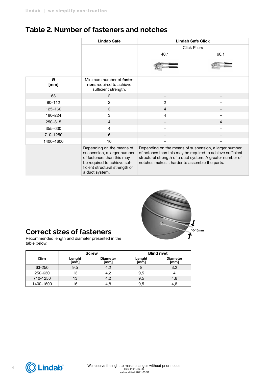### **Table 2. Number of fasteners and notches**

|            | <b>Lindab Safe</b>                                                                                                                                                        |                                                                                                                                                                                                                                    | <b>Lindab Safe Click</b> |
|------------|---------------------------------------------------------------------------------------------------------------------------------------------------------------------------|------------------------------------------------------------------------------------------------------------------------------------------------------------------------------------------------------------------------------------|--------------------------|
|            |                                                                                                                                                                           |                                                                                                                                                                                                                                    | <b>Click Pliers</b>      |
|            |                                                                                                                                                                           | 40.1                                                                                                                                                                                                                               | 60.1                     |
| Ø<br>[mm]  | Minimum number of <b>faste-</b><br>ners required to achieve<br>sufficient strength.                                                                                       |                                                                                                                                                                                                                                    |                          |
| 63         | 2                                                                                                                                                                         |                                                                                                                                                                                                                                    |                          |
| $80 - 112$ | $\overline{c}$                                                                                                                                                            | $\overline{2}$                                                                                                                                                                                                                     |                          |
| 125-160    | 3                                                                                                                                                                         | $\overline{4}$                                                                                                                                                                                                                     |                          |
| 180-224    | 3                                                                                                                                                                         | 4                                                                                                                                                                                                                                  |                          |
| 250-315    | 4                                                                                                                                                                         |                                                                                                                                                                                                                                    | $\overline{4}$           |
| 355-630    | 4                                                                                                                                                                         |                                                                                                                                                                                                                                    |                          |
| 710-1250   | 6                                                                                                                                                                         |                                                                                                                                                                                                                                    |                          |
| 1400-1600  | 10                                                                                                                                                                        |                                                                                                                                                                                                                                    |                          |
|            | Depending on the means of<br>suspension, a larger number<br>of fasteners than this may<br>be required to achieve suf-<br>ficient structural strength of<br>a duct system. | Depending on the means of suspension, a larger number<br>of notches than this may be required to achieve sufficient<br>structural strength of a duct system. A greater number of<br>notches makes it harder to assemble the parts. |                          |



### **Correct sizes of fasteners**

Recommended length and diameter presented in the table below.

|            |                | <b>Screw</b>            |                | <b>Blind rivet</b>      |
|------------|----------------|-------------------------|----------------|-------------------------|
| <b>Dim</b> | Lenght<br>[mm] | <b>Diameter</b><br>[mm] | Lenght<br>[mm] | <b>Diameter</b><br>[mm] |
| 63-250     | 9,5            | 4,2                     | 8              | 3,2                     |
| 250-630    | 13             | 4,2                     | 9,5            |                         |
| 710-1250   | 13             | 4,2                     | 9,5            | 4,8                     |
| 1400-1600  | 16             | 4,8                     | 9,5            | 4,8                     |

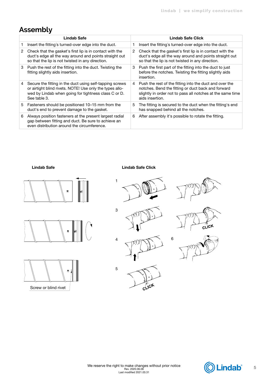## **Assembly**

| Lindab Safe |                                                                                                                                                                                              |   | Lindab Safe Click                                                                                                                                                                              |
|-------------|----------------------------------------------------------------------------------------------------------------------------------------------------------------------------------------------|---|------------------------------------------------------------------------------------------------------------------------------------------------------------------------------------------------|
|             | Insert the fitting's turned-over edge into the duct.                                                                                                                                         | ٦ | Insert the fitting's turned-over edge into the duct.                                                                                                                                           |
| 2           | Check that the gasket's first lip is in contact with the<br>duct's edge all the way around and points straight out<br>so that the lip is not twisted in any direction.                       | 2 | Check that the gasket's first lip is in contact with the<br>duct's edge all the way around and points straight out<br>so that the lip is not twisted in any direction.                         |
| 3           | Push the rest of the fitting into the duct. Twisting the<br>fitting slightly aids insertion.                                                                                                 | 3 | Push the first part of the fitting into the duct to just<br>before the notches. Twisting the fitting slightly aids<br>insertion.                                                               |
| 4           | Secure the fitting in the duct using self-tapping screws<br>or airtight blind rivets. NOTE! Use only the types allo-<br>wed by Lindab when going for tightness class C or D.<br>See table 3. | 4 | Push the rest of the fitting into the duct and over the<br>notches. Bend the fitting or duct back and forward<br>slightly in order not to pass all notches at the same time<br>aids insertion. |
| 5           | Fasteners should be positioned 10–15 mm from the<br>duct's end to prevent damage to the gasket.                                                                                              | 5 | The fitting is secured to the duct when the fitting's end<br>has snapped behind all the notches.                                                                                               |
| 6           | Always position fasteners at the present largest radial<br>gap between fitting and duct. Be sure to achieve an<br>even distribution around the circumference.                                | 6 | After assembly it's possible to rotate the fitting.                                                                                                                                            |







### Lindab Safe Lindab Safe Click





3











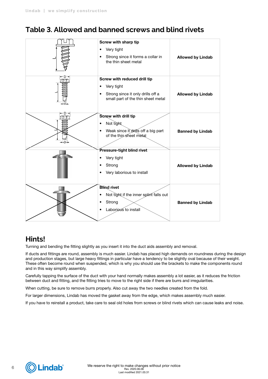### **Table 3. Allowed and banned screws and blind rivets**

| Screw with sharp tip<br>Very tight<br>٠<br>Strong since it forms a collar in<br>the thin sheet metal                            | <b>Allowed by Lindab</b> |
|---------------------------------------------------------------------------------------------------------------------------------|--------------------------|
| Screw with reduced drill tip<br>Very tight<br>٠<br>Strong since it only drills off a<br>٠<br>small part of the thin sheet metal | <b>Allowed by Lindab</b> |
| Screw with drill tip<br>Not tight<br>$\bullet$<br>Weak since it drills off a big part<br>of the thin sheet metal                | <b>Banned by Lindab</b>  |
| Pressure-tight blind rivet<br>Very tight<br>Strong<br>Very laborious to install                                                 | <b>Allowed by Lindab</b> |
| <b>Blind rivet</b><br>Not tight if the inner splint falls out<br>Strong<br>Laborious to install                                 | <b>Banned by Lindab</b>  |

### **Hints!**

Turning and bending the fitting slightly as you insert it into the duct aids assembly and removal.

If ducts and fittings are round, assembly is much easier. Lindab has placed high demands on roundness during the design and production stages, but large heavy fittings in particular have a tendency to be slightly oval because of their weight. These often become round when suspended, which is why you should use the brackets to make the components round and in this way simplify assembly.

Carefully tapping the surface of the duct with your hand normally makes assembly a lot easier, as it reduces the friction between duct and fitting, and the fitting tries to move to the right side if there are burrs and irregularities.

When cutting, be sure to remove burrs properly. Also cut away the two needles created from the fold.

For larger dimensions, Lindab has moved the gasket away from the edge, which makes assembly much easier.

If you have to reinstall a product, take care to seal old holes from screws or blind rivets which can cause leaks and noise.

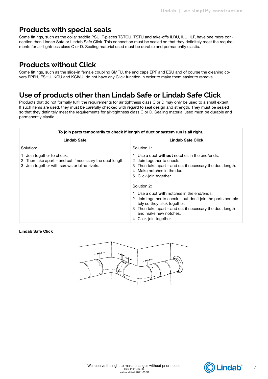### **Products with special seals**

Some fittings, such as the collar saddle PSU, T-pieces TSTCU, TSTU and take-offs ILRU, ILU, ILF, have one more connection than Lindab Safe or Lindab Safe Click. This connection must be sealed so that they definitely meet the requirements for air-tightness class C or D. Sealing material used must be durable and permanently elastic.

### **Products without Click**

Some fittings, such as the slide-in female coupling SMFU, the end caps EPF and ESU and of course the cleaning covers EPFH, ESHU, KCU and KCIVU, do not have any Click function in order to make them easier to remove.

### **Use of products other than Lindab Safe or Lindab Safe Click**

Products that do not formally fulfil the requirements for air tightness class C or D may only be used to a small extent. If such items are used, they must be carefully checked with regard to seal design and strength. They must be sealed so that they definitely meet the requirements for air-tightness class C or D. Sealing material used must be durable and permanently elastic.

| To join parts temporarily to check if length of duct or system run is all right.                                                     |                                                                                                                                                                                                                                                                                                                                                                                                                                                                            |  |
|--------------------------------------------------------------------------------------------------------------------------------------|----------------------------------------------------------------------------------------------------------------------------------------------------------------------------------------------------------------------------------------------------------------------------------------------------------------------------------------------------------------------------------------------------------------------------------------------------------------------------|--|
| <b>Lindab Safe</b>                                                                                                                   | Lindab Safe Click                                                                                                                                                                                                                                                                                                                                                                                                                                                          |  |
| Solution:                                                                                                                            | Solution 1:                                                                                                                                                                                                                                                                                                                                                                                                                                                                |  |
| Join together to check.<br>2 Then take apart – and cut if necessary the duct length.<br>3 Join together with screws or blind rivets. | Use a duct without notches in the end/ends.<br>2 Join together to check.<br>Then take apart – and cut if necessary the duct length.<br>З<br>Make notches in the duct.<br>5 Click-join together.<br>Solution 2:<br>1 Use a duct with notches in the end/ends.<br>2 Join together to check – but don't join the parts comple-<br>tely so they click together.<br>3 Then take apart – and cut if necessary the duct length<br>and make new notches.<br>4 Click-join together. |  |

Lindab Safe Click



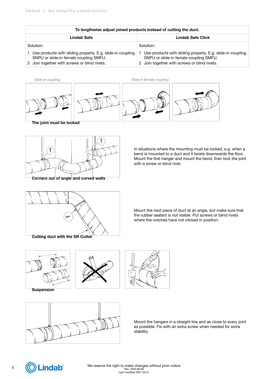| To lengthwise adjust joined products instead of cutting the duct.                                                                                    |                                                                                                                                                      |  |
|------------------------------------------------------------------------------------------------------------------------------------------------------|------------------------------------------------------------------------------------------------------------------------------------------------------|--|
| Lindab Safe                                                                                                                                          | Lindab Safe Click                                                                                                                                    |  |
| Solution:                                                                                                                                            | Solution:                                                                                                                                            |  |
| Use products with sliding property. E.g. slide-in coupling<br>SNPU or slide-in female coupling SMFU.<br>2 Join together with screws or blind rivets. | Use products with sliding property. E.g. slide-in coupling<br>SNPU or slide-in female coupling SMFU.<br>2 Join together with screws or blind rivets. |  |





Corners out of angle and curved walls

In situations where the mounting must be locked, e.g. when a bend is mounted to a duct and it twists downwards the floor. Mount the first hanger and mount the bend, then lock the joint with a screw or blind rivet.



Mount the next piece of duct at an angle, but make sure that the rubber sealant is not visible. Put screws or blind rivets where the notches have not clicked in position.









Mount the hangers in a straight line and as close to every joint as possible. Fix with an extra screw when needed for extra stability.

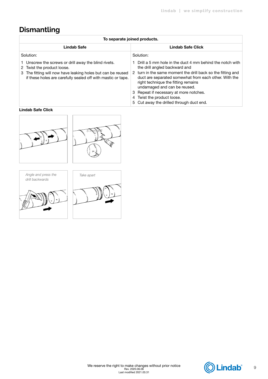## **Dismantling**

| To separate joined products.                                                                                                                                                                                         |                                                                                                                                                                                                                                                                                                                                                                                                              |  |  |
|----------------------------------------------------------------------------------------------------------------------------------------------------------------------------------------------------------------------|--------------------------------------------------------------------------------------------------------------------------------------------------------------------------------------------------------------------------------------------------------------------------------------------------------------------------------------------------------------------------------------------------------------|--|--|
| Lindab Safe                                                                                                                                                                                                          | Lindab Safe Click                                                                                                                                                                                                                                                                                                                                                                                            |  |  |
| Solution:                                                                                                                                                                                                            | Solution:                                                                                                                                                                                                                                                                                                                                                                                                    |  |  |
| 1 Unscrew the screws or drill away the blind rivets.<br>2 Twist the product loose.<br>The fitting will now have leaking holes but can be reused<br>3<br>if these holes are carefully sealed off with mastic or tape. | Drill a 5 mm hole in the duct 4 mm behind the notch with<br>the drill angled backward and<br>2 turn in the same moment the drill back so the fitting and<br>duct are separated somewhat from each other. With the<br>right technique the fitting remains<br>undamaged and can be reused.<br>3 Repeat if necessary at more notches.<br>4 Twist the product loose.<br>5 Cut away the drilled through duct end. |  |  |

#### Lindab Safe Click